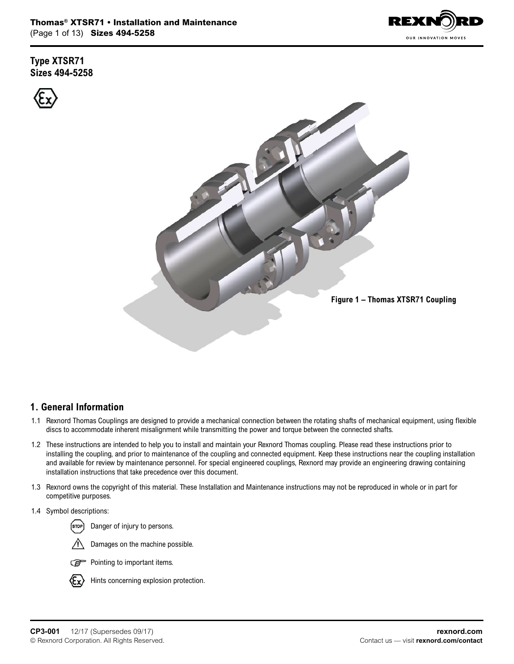

**Type XTSR71 Sizes 494-5258**



## **1. General Information**

- 1.1 Rexnord Thomas Couplings are designed to provide a mechanical connection between the rotating shafts of mechanical equipment, using flexible discs to accommodate inherent misalignment while transmitting the power and torque between the connected shafts.
- 1.2 These instructions are intended to help you to install and maintain your Rexnord Thomas coupling. Please read these instructions prior to installing the coupling, and prior to maintenance of the coupling and connected equipment. Keep these instructions near the coupling installation and available for review by maintenance personnel. For special engineered couplings, Rexnord may provide an engineering drawing containing installation instructions that take precedence over this document.
- 1.3 Rexnord owns the copyright of this material. These Installation and Maintenance instructions may not be reproduced in whole or in part for competitive purposes.
- 1.4 Symbol descriptions:

Danger of injury to persons.









Hints concerning explosion protection.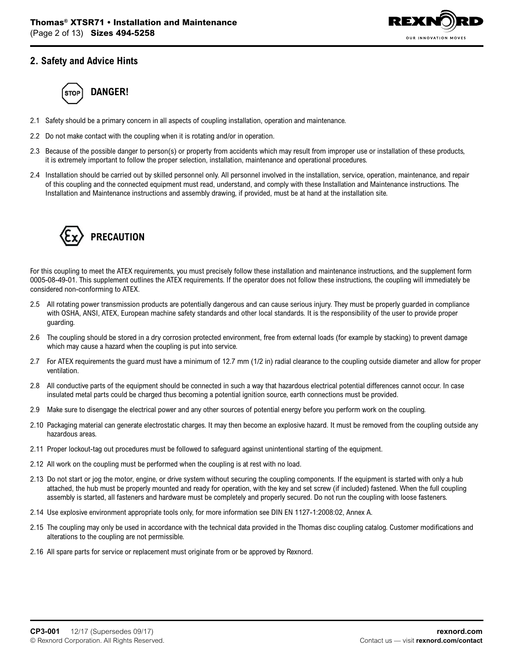

## **2. Safety and Advice Hints**



- 2.1 Safety should be a primary concern in all aspects of coupling installation, operation and maintenance.
- 2.2 Do not make contact with the coupling when it is rotating and/or in operation.
- 2.3 Because of the possible danger to person(s) or property from accidents which may result from improper use or installation of these products, it is extremely important to follow the proper selection, installation, maintenance and operational procedures.
- 2.4 Installation should be carried out by skilled personnel only. All personnel involved in the installation, service, operation, maintenance, and repair of this coupling and the connected equipment must read, understand, and comply with these Installation and Maintenance instructions. The Installation and Maintenance instructions and assembly drawing, if provided, must be at hand at the installation site.



For this coupling to meet the ATEX requirements, you must precisely follow these installation and maintenance instructions, and the supplement form 0005-08-49-01. This supplement outlines the ATEX requirements. If the operator does not follow these instructions, the coupling will immediately be considered non-conforming to ATEX.

- 2.5 All rotating power transmission products are potentially dangerous and can cause serious injury. They must be properly guarded in compliance with OSHA, ANSI, ATEX, European machine safety standards and other local standards. It is the responsibility of the user to provide proper guarding.
- 2.6 The coupling should be stored in a dry corrosion protected environment, free from external loads (for example by stacking) to prevent damage which may cause a hazard when the coupling is put into service.
- 2.7 For ATEX requirements the guard must have a minimum of 12.7 mm (1/2 in) radial clearance to the coupling outside diameter and allow for proper ventilation.
- 2.8 All conductive parts of the equipment should be connected in such a way that hazardous electrical potential differences cannot occur. In case insulated metal parts could be charged thus becoming a potential ignition source, earth connections must be provided.
- 2.9 Make sure to disengage the electrical power and any other sources of potential energy before you perform work on the coupling.
- 2.10 Packaging material can generate electrostatic charges. It may then become an explosive hazard. It must be removed from the coupling outside any hazardous areas.
- 2.11 Proper lockout-tag out procedures must be followed to safeguard against unintentional starting of the equipment.
- 2.12 All work on the coupling must be performed when the coupling is at rest with no load.
- 2.13 Do not start or jog the motor, engine, or drive system without securing the coupling components. If the equipment is started with only a hub attached, the hub must be properly mounted and ready for operation, with the key and set screw (if included) fastened. When the full coupling assembly is started, all fasteners and hardware must be completely and properly secured. Do not run the coupling with loose fasteners.
- 2.14 Use explosive environment appropriate tools only, for more information see DIN EN 1127-1:2008:02, Annex A.
- 2.15 The coupling may only be used in accordance with the technical data provided in the Thomas disc coupling catalog. Customer modifications and alterations to the coupling are not permissible.
- 2.16 All spare parts for service or replacement must originate from or be approved by Rexnord.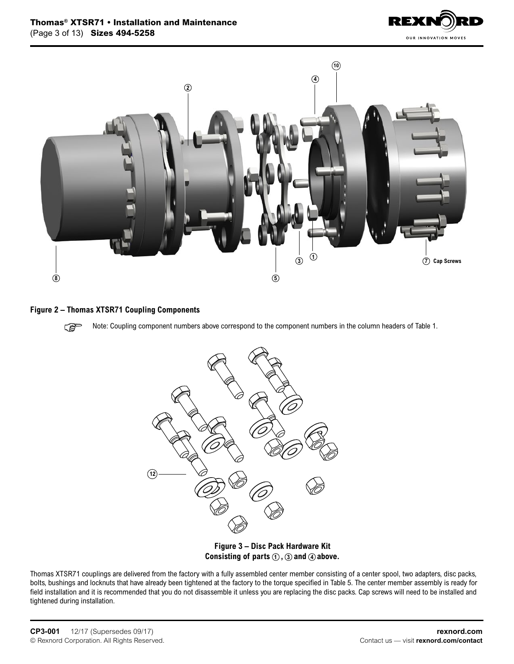



#### **Figure 2 – Thomas XTSR71 Coupling Components**

**PED** Note: Coupling component numbers above correspond to the component numbers in the column headers of Table 1.



**Figure 3 – Disc Pack Hardware Kit**  Consisting of parts  $(1)$ ,  $(3)$  and  $(4)$  above.

Thomas XTSR71 couplings are delivered from the factory with a fully assembled center member consisting of a center spool, two adapters, disc packs, bolts, bushings and locknuts that have already been tightened at the factory to the torque specified in Table 5. The center member assembly is ready for field installation and it is recommended that you do not disassemble it unless you are replacing the disc packs. Cap screws will need to be installed and tightened during installation.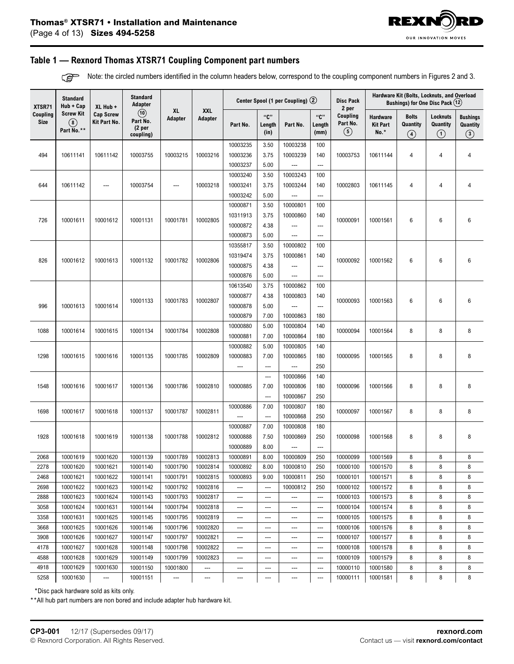

#### **Table 1 — Rexnord Thomas XTSR71 Coupling Component part numbers**

Note: the circled numbers identified in the column headers below, correspond to the coupling component numbers in Figures 2 and 3.**PER** 

| XTSR71                  | <b>Standard</b><br>Hub + Cap                    | <b>Standard</b><br>Center Spool (1 per Coupling) 2<br>Adapter<br>XL Hub + |                                                                |                      |                          |          |                          |                      | <b>Disc Pack</b><br>2 per | Hardware Kit (Bolts, Locknuts, and Overload<br>Bushings) for One Disc Pack (12) |                                       |                                           |                                       |                                        |  |  |
|-------------------------|-------------------------------------------------|---------------------------------------------------------------------------|----------------------------------------------------------------|----------------------|--------------------------|----------|--------------------------|----------------------|---------------------------|---------------------------------------------------------------------------------|---------------------------------------|-------------------------------------------|---------------------------------------|----------------------------------------|--|--|
| Coupling<br><b>Size</b> | <b>Screw Kit</b><br>$\circledast$<br>Part No.** | <b>Cap Screw</b><br>Kit Part No.                                          | $\circled{10}$<br>Part No.<br>(2 <sub>per</sub> )<br>coupling) | <b>XL</b><br>Adapter | <b>XXL</b><br>Adapter    | Part No. | "ር"<br>Length<br>(in)    | Part No.             | "ር"<br>Length<br>(mm)     | Coupling<br>Part No.<br>$\circled{5}$                                           | Hardware<br><b>Kit Part</b><br>$No.*$ | <b>Bolts</b><br>Quantity<br>$\circled{4}$ | Locknuts<br>Quantity<br>$\circled{1}$ | <b>Bushings</b><br>Quantity<br>$\odot$ |  |  |
|                         |                                                 |                                                                           |                                                                |                      |                          | 10003235 | 3.50                     | 10003238             | 100                       |                                                                                 |                                       |                                           |                                       |                                        |  |  |
| 494                     | 10611141                                        | 10611142                                                                  | 10003755                                                       | 10003215             | 10003216                 | 10003236 | 3.75                     | 10003239             | 140                       | 10003753                                                                        | 10611144                              | 4                                         | 4                                     | $\overline{4}$                         |  |  |
|                         |                                                 |                                                                           |                                                                |                      |                          | 10003237 | 5.00                     |                      | ---                       |                                                                                 |                                       |                                           |                                       |                                        |  |  |
|                         |                                                 |                                                                           |                                                                |                      |                          | 10003240 | 3.50                     | 10003243             | 100                       |                                                                                 |                                       |                                           |                                       |                                        |  |  |
| 644                     | 10611142                                        | ---                                                                       | 10003754                                                       | ---                  | 10003218                 | 10003241 | 3.75                     | 10003244             | 140                       | 10002803                                                                        | 10611145                              | 4                                         | 4                                     | $\overline{4}$                         |  |  |
|                         |                                                 |                                                                           |                                                                |                      |                          | 10003242 | 5.00                     |                      | ---                       |                                                                                 |                                       |                                           |                                       |                                        |  |  |
|                         |                                                 |                                                                           |                                                                |                      |                          | 10000871 | 3.50                     | 10000801             | 100                       |                                                                                 |                                       |                                           |                                       |                                        |  |  |
| 726                     | 10001611                                        | 10001612                                                                  | 10001131                                                       | 10001781             | 10002805                 | 10311913 | 3.75                     | 10000860             | 140                       | 10000091                                                                        | 10001561                              | 6                                         | 6                                     | $6\phantom{1}6$                        |  |  |
|                         |                                                 |                                                                           |                                                                |                      |                          | 10000872 | 4.38                     |                      | $\qquad \qquad \cdots$    |                                                                                 |                                       |                                           |                                       |                                        |  |  |
|                         |                                                 |                                                                           |                                                                |                      |                          | 10000873 | 5.00                     | ---                  | ---                       |                                                                                 |                                       |                                           |                                       |                                        |  |  |
|                         |                                                 |                                                                           |                                                                |                      |                          | 10355817 | 3.50                     | 10000802             | 100                       |                                                                                 |                                       |                                           | 6                                     | $6\phantom{1}6$                        |  |  |
| 826                     | 10001612                                        | 10001613                                                                  | 10001132                                                       | 10001782             | 10002806                 | 10319474 | 3.75                     | 10000861             | 140                       | 10000092                                                                        | 10001562                              | 6                                         |                                       |                                        |  |  |
|                         |                                                 |                                                                           |                                                                |                      |                          | 10000875 | 4.38                     |                      | ---                       |                                                                                 |                                       |                                           |                                       |                                        |  |  |
|                         |                                                 |                                                                           |                                                                |                      |                          | 10000876 | 5.00                     | ---                  | ---                       |                                                                                 |                                       |                                           |                                       |                                        |  |  |
|                         |                                                 |                                                                           |                                                                |                      | 10002807                 | 10613540 | 3.75                     | 10000862             | 100                       |                                                                                 | 10001563                              |                                           |                                       |                                        |  |  |
|                         | 10001613                                        |                                                                           | 10001133                                                       | 10001783             |                          | 10000877 | 4.38                     | 10000803             | 140                       | 10000093                                                                        |                                       | 6                                         | 6                                     | $6\phantom{1}6$                        |  |  |
| 996                     |                                                 | 10001614                                                                  |                                                                |                      |                          | 10000878 | 5.00                     |                      | ---                       |                                                                                 |                                       |                                           |                                       |                                        |  |  |
|                         |                                                 |                                                                           |                                                                |                      |                          | 10000879 | 7.00                     | 10000863             | 180                       |                                                                                 |                                       |                                           |                                       |                                        |  |  |
| 1088                    | 10001614                                        | 10001615                                                                  | 10001134                                                       | 10001784             | 10002808                 | 10000880 | 5.00                     | 10000804             | 140                       | 10000094                                                                        | 10001564                              | 8                                         | 8                                     | 8                                      |  |  |
|                         |                                                 |                                                                           |                                                                |                      |                          | 10000881 | 7.00                     | 10000864             | 180                       |                                                                                 |                                       |                                           |                                       |                                        |  |  |
|                         | 10001615                                        |                                                                           |                                                                | 10001785             |                          | 10000882 | 5.00                     | 10000805             | 140                       |                                                                                 |                                       |                                           |                                       |                                        |  |  |
| 1298                    |                                                 | 10001616                                                                  | 10001135                                                       |                      | 10002809                 | 10000883 | 7.00                     | 10000865             | 180                       | 10000095                                                                        | 10001565                              | 8                                         | 8                                     | 8                                      |  |  |
|                         |                                                 |                                                                           |                                                                |                      |                          | $---$    | $\overline{\phantom{a}}$ |                      | 250                       |                                                                                 |                                       |                                           |                                       |                                        |  |  |
|                         | 10001616                                        |                                                                           | 10001136                                                       | 10001786             |                          |          | ---                      | 10000866             | 140                       |                                                                                 |                                       |                                           |                                       | 8                                      |  |  |
| 1548                    |                                                 | 10001617                                                                  |                                                                |                      | 10002810                 | 10000885 | 7.00<br>---              | 10000806<br>10000867 | 180<br>250                | 10000096                                                                        | 10001566                              | 8                                         | 8                                     |                                        |  |  |
|                         |                                                 |                                                                           |                                                                |                      |                          | 10000886 | 7.00                     | 10000807             | 180                       |                                                                                 |                                       |                                           |                                       |                                        |  |  |
| 1698                    | 10001617                                        | 10001618                                                                  | 10001137                                                       | 10001787             | 10002811                 |          | ---                      | 10000868             | 250                       | 10000097                                                                        | 10001567                              | 8                                         | 8                                     | 8                                      |  |  |
|                         |                                                 |                                                                           |                                                                |                      |                          | 10000887 | 7.00                     | 10000808             | 180                       |                                                                                 |                                       |                                           |                                       |                                        |  |  |
| 1928                    | 10001618                                        | 10001619                                                                  | 10001138                                                       | 10001788             | 10002812                 | 10000888 | 7.50                     | 10000869             | 250                       | 10000098                                                                        | 10001568                              | 8                                         | 8                                     | 8                                      |  |  |
|                         |                                                 |                                                                           |                                                                |                      |                          | 10000889 | 8.00                     |                      | ---                       |                                                                                 |                                       |                                           |                                       |                                        |  |  |
| 2068                    | 10001619                                        | 10001620                                                                  | 10001139                                                       | 10001789             | 10002813                 | 10000891 | 8.00                     | 10000809             | 250                       | 10000099                                                                        | 10001569                              | 8                                         | 8                                     | 8                                      |  |  |
| 2278                    | 10001620                                        | 10001621                                                                  | 10001140                                                       | 10001790             | 10002814                 | 10000892 | 8.00                     | 10000810             | 250                       | 10000100                                                                        | 10001570                              | 8                                         | 8                                     | 8                                      |  |  |
| 2468                    | 10001621                                        | 10001622                                                                  | 10001141                                                       | 10001791             | 10002815                 | 10000893 | 9.00                     | 10000811             | 250                       | 10000101                                                                        | 10001571                              | 8                                         | 8                                     | 8                                      |  |  |
| 2698                    | 10001622                                        | 10001623                                                                  | 10001142                                                       | 10001792             | 10002816                 | ---      | $\overline{\phantom{a}}$ | 10000812             | 250                       | 10000102                                                                        | 10001572                              | 8                                         | 8                                     | 8                                      |  |  |
| 2888                    | 10001623                                        | 10001624                                                                  | 10001143                                                       | 10001793             | 10002817                 | ---      | ---                      |                      | ---                       | 10000103                                                                        | 10001573                              | 8                                         | 8                                     | 8                                      |  |  |
| 3058                    | 10001624                                        | 10001631                                                                  | 10001144                                                       | 10001794             | 10002818                 | ---      | $---$                    | ---                  | ---                       | 10000104                                                                        | 10001574                              | 8                                         | 8                                     | 8                                      |  |  |
| 3358                    | 10001631                                        | 10001625                                                                  | 10001145                                                       | 10001795             | 10002819                 | ---      | ---                      | ---                  | ---                       | 10000105                                                                        | 10001575                              | 8                                         | 8                                     | 8                                      |  |  |
| 3668                    | 10001625                                        | 10001626                                                                  | 10001146                                                       | 10001796             | 10002820                 | ---      | $---$                    | ---                  | ---                       | 10000106                                                                        | 10001576                              | 8                                         | 8                                     | 8                                      |  |  |
| 3908                    | 10001626                                        | 10001627                                                                  | 10001147                                                       | 10001797             | 10002821                 | ---      | $---$                    | ---                  | ---                       | 10000107                                                                        | 10001577                              | 8                                         | 8                                     | 8                                      |  |  |
| 4178                    | 10001627                                        | 10001628                                                                  | 10001148                                                       | 10001798             | 10002822                 | ---      | $---$                    | ---                  | ---                       | 10000108                                                                        | 10001578                              | 8                                         | 8                                     | 8                                      |  |  |
| 4588                    | 10001628                                        | 10001629                                                                  | 10001149                                                       | 10001799             | 10002823                 | ---      | $---$                    | ---                  | ---                       | 10000109                                                                        | 10001579                              | 8                                         | 8                                     | 8                                      |  |  |
| 4918                    | 10001629                                        | 10001630                                                                  | 10001150                                                       | 10001800             | $\overline{\phantom{a}}$ | ---      | $---$                    | ---                  | ---                       | 10000110                                                                        | 10001580                              | 8                                         | 8                                     | 8                                      |  |  |
| 5258                    | 10001630                                        | $\hspace{0.05cm} \ldots$                                                  | 10001151                                                       |                      | ---                      | ---      | ---                      | ---                  | ---                       | 10000111                                                                        | 10001581                              | 8                                         | 8                                     | 8                                      |  |  |

\*Disc pack hardware sold as kits only.

\*\*All hub part numbers are non bored and include adapter hub hardware kit.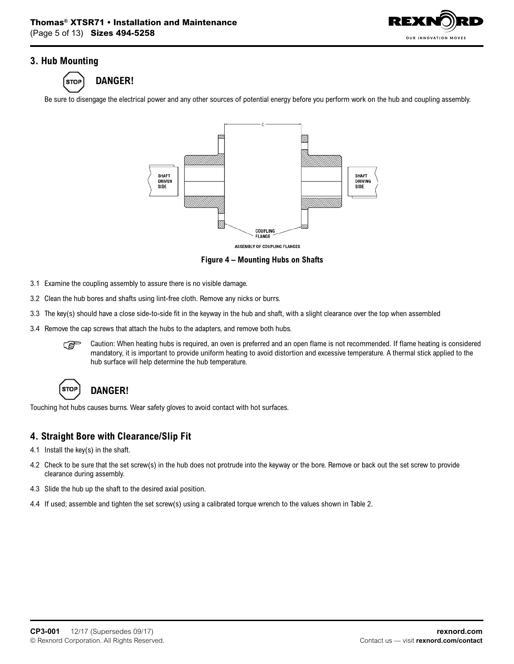

## **3. Hub Mounting**



Be sure to disengage the electrical power and any other sources of potential energy before you perform work on the hub and coupling assembly.



**ASSEMBLY OF COUPLING FLANGES** 

**Figure 4 – Mounting Hubs on Shafts**

- 3.1 Examine the coupling assembly to assure there is no visible damage.
- 3.2 Clean the hub bores and shafts using lint-free cloth. Remove any nicks or burrs.
- 3.3 The key(s) should have a close side-to-side fit in the keyway in the hub and shaft, with a slight clearance over the top when assembled
- 3.4 Remove the cap screws that attach the hubs to the adapters, and remove both hubs.
	- $\mathbb{G}$  Caution: When heating hubs is required, an oven is preferred and an open flame is not recommended. If flame heating is considered mandatory, it is important to provide uniform heating to avoid distortion and excessive temperature. A thermal stick applied to the hub surface will help determine the hub temperature.



# **DANGER!**

Touching hot hubs causes burns. Wear safety gloves to avoid contact with hot surfaces.

### **4. Straight Bore with Clearance/Slip Fit**

- 4.1 Install the key(s) in the shaft.
- 4.2 Check to be sure that the set screw(s) in the hub does not protrude into the keyway or the bore. Remove or back out the set screw to provide clearance during assembly.
- 4.3 Slide the hub up the shaft to the desired axial position.
- 4.4 If used; assemble and tighten the set screw(s) using a calibrated torque wrench to the values shown in Table 2.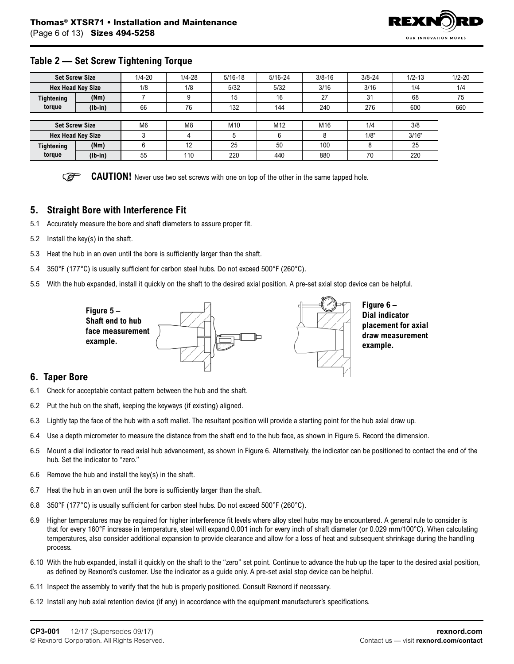

### **Table 2 — Set Screw Tightening Torque**

|                   | <b>Set Screw Size</b>    | $1/4 - 20$     | $1/4 - 28$     | $5/16 - 18$ | $5/16 - 24$ | $3/8 - 16$ | $3/8 - 24$ | $1/2 - 13$ | $1/2 - 20$ |  |
|-------------------|--------------------------|----------------|----------------|-------------|-------------|------------|------------|------------|------------|--|
|                   | <b>Hex Head Key Size</b> | 1/8            | 1/8            | 5/32        | 5/32        | 3/16       | 3/16       | 1/4        | 1/4        |  |
| <b>Tightening</b> | (Nm)                     |                |                | 15          | 16          | 27         | 31         | 68         | 75         |  |
| torque            | $(lb-in)$                | 66             | 76             | 132         | 144         | 240        | 276        | 600        | 660        |  |
|                   |                          |                |                |             |             |            |            |            |            |  |
|                   | <b>Set Screw Size</b>    | M <sub>6</sub> | M <sub>8</sub> | M10         | M12         | M16        | 1/4        | 3/8        |            |  |
|                   | <b>Hex Head Key Size</b> |                | 4              |             | 6           | 8          | 1/8"       | 3/16"      |            |  |
| <b>Tightening</b> | (Nm)                     |                | 12             | 25          | 50          | 100        | 8          | 25         |            |  |
| torque            | $(lb-in)$                | 55             | 110            | 220         | 440         | 880        | 70         | 220        |            |  |

**REP CAUTION!** Never use two set screws with one on top of the other in the same tapped hole.

### **5. Straight Bore with Interference Fit**

- 5.1 Accurately measure the bore and shaft diameters to assure proper fit.
- 5.2 Install the key(s) in the shaft.
- 5.3 Heat the hub in an oven until the bore is sufficiently larger than the shaft.
- 5.4 350°F (177°C) is usually sufficient for carbon steel hubs. Do not exceed 500°F (260°C).
- 5.5 With the hub expanded, install it quickly on the shaft to the desired axial position. A pre-set axial stop device can be helpful.



**Figure 6 – Dial indicator placement for axial draw measurement example.**

#### **6. Taper Bore**

- 6.1 Check for acceptable contact pattern between the hub and the shaft.
- 6.2 Put the hub on the shaft, keeping the keyways (if existing) aligned.
- 6.3 Lightly tap the face of the hub with a soft mallet. The resultant position will provide a starting point for the hub axial draw up.
- 6.4 Use a depth micrometer to measure the distance from the shaft end to the hub face, as shown in Figure 5. Record the dimension.
- 6.5 Mount a dial indicator to read axial hub advancement, as shown in Figure 6. Alternatively, the indicator can be positioned to contact the end of the hub. Set the indicator to "zero."
- 6.6 Remove the hub and install the key(s) in the shaft.
- 6.7 Heat the hub in an oven until the bore is sufficiently larger than the shaft.
- 6.8 350°F (177°C) is usually sufficient for carbon steel hubs. Do not exceed 500°F (260°C).
- 6.9 Higher temperatures may be required for higher interference fit levels where alloy steel hubs may be encountered. A general rule to consider is that for every 160°F increase in temperature, steel will expand 0.001 inch for every inch of shaft diameter (or 0.029 mm/100°C). When calculating temperatures, also consider additional expansion to provide clearance and allow for a loss of heat and subsequent shrinkage during the handling process.
- 6.10 With the hub expanded, install it quickly on the shaft to the "zero" set point. Continue to advance the hub up the taper to the desired axial position, as defined by Rexnord's customer. Use the indicator as a guide only. A pre-set axial stop device can be helpful.
- 6.11 Inspect the assembly to verify that the hub is properly positioned. Consult Rexnord if necessary.
- 6.12 Install any hub axial retention device (if any) in accordance with the equipment manufacturer's specifications.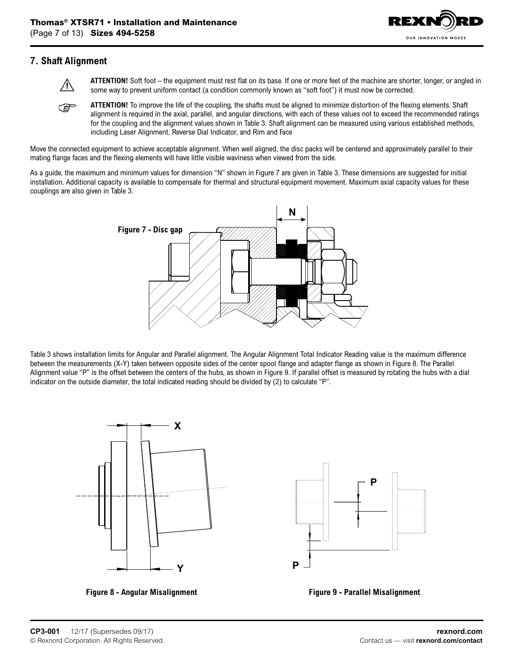

## **7. Shaft Alignment**



 **ATTENTION!** Soft foot – the equipment must rest flat on its base. If one or more feet of the machine are shorter, longer, or angled in some way to prevent uniform contact (a condition commonly known as "soft foot") it must now be corrected.

**ATTENTION!** To improve the life of the coupling, the shafts must be aligned to minimize distortion of the flexing elements. Shaft **P** alignment is required in the axial, parallel, and angular directions, with each of these values not to exceed the recommended ratings for the coupling and the alignment values shown in Table 3. Shaft alignment can be measured using various established methods, including Laser Alignment, Reverse Dial Indicator, and Rim and Face

Move the connected equipment to achieve acceptable alignment. When well aligned, the disc packs will be centered and approximately parallel to their mating flange faces and the flexing elements will have little visible waviness when viewed from the side.

As a guide, the maximum and minimum values for dimension "N" shown in Figure 7 are given in Table 3. These dimensions are suggested for initial installation. Additional capacity is available to compensate for thermal and structural equipment movement. Maximum axial capacity values for these couplings are also given in Table 3.



Table 3 shows installation limits for Angular and Parallel alignment. The Angular Alignment Total Indicator Reading value is the maximum difference between the measurements (X-Y) taken between opposite sides of the center spool flange and adapter flange as shown in Figure 8. The Parallel Alignment value "P" is the offset between the centers of the hubs, as shown in Figure 9. If parallel offset is measured by rotating the hubs with a dial indicator on the outside diameter, the total indicated reading should be divided by (2) to calculate "P".





**Figure 8 - Angular Misalignment Figure 9 - Parallel Misalignment**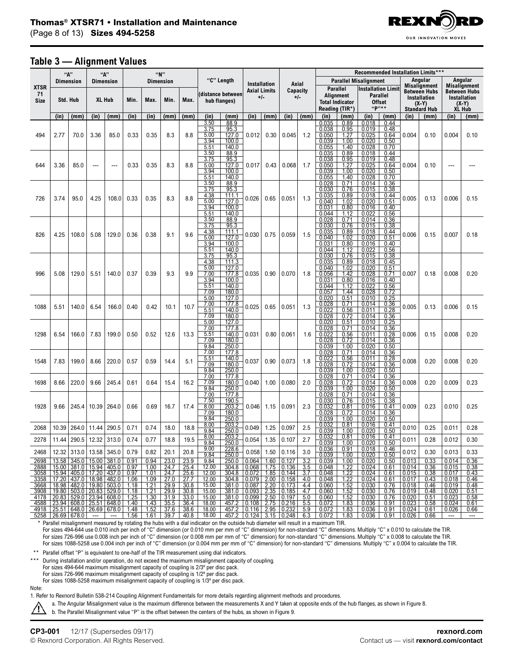

#### **Table 3 — Alignment Values**

|                                  | "A"                                                                         |               |               | "N"<br>"А"              |              |              |                          |              |                                                      |                                                            |                            |                        |                                                                                                                   | Recommended Installation Limits*** |                                                                   |                                                      |                                                                 |                                                      |                                                                                            |              |                                                                 |                |
|----------------------------------|-----------------------------------------------------------------------------|---------------|---------------|-------------------------|--------------|--------------|--------------------------|--------------|------------------------------------------------------|------------------------------------------------------------|----------------------------|------------------------|-------------------------------------------------------------------------------------------------------------------|------------------------------------|-------------------------------------------------------------------|------------------------------------------------------|-----------------------------------------------------------------|------------------------------------------------------|--------------------------------------------------------------------------------------------|--------------|-----------------------------------------------------------------|----------------|
|                                  | <b>Dimension</b>                                                            |               |               | <b>Dimension</b>        |              |              | <b>Dimension</b>         |              |                                                      | "C" Length                                                 |                            | <b>Installation</b>    |                                                                                                                   | Axial                              |                                                                   |                                                      |                                                                 | <b>Parallel Misalignment</b>                         |                                                                                            | Angular      | Angular<br><b>Misalignment</b>                                  |                |
| <b>XTSR</b><br>71<br><b>Size</b> |                                                                             | Std. Hub      | <b>XL Hub</b> |                         | Min.         | Max.         | Min.                     | Max.         | (distance between<br>hub flanges)                    |                                                            | <b>Axial Limits</b><br>+/- |                        | Capacity<br>+/-                                                                                                   |                                    | Parallel<br>Alignment<br><b>Total Indicator</b><br>Reading (TIR*) |                                                      | <b>Installation Limit</b><br>Parallel<br><b>Offset</b><br>"P"** |                                                      | <b>Misalignment</b><br><b>Between Hubs</b><br>Installation<br>(X-Y)<br><b>Standard Hub</b> |              | <b>Between Hubs</b><br>Installation<br>$(X-Y)$<br><b>XL Hub</b> |                |
|                                  | (in)                                                                        | (mm)          | (in)          | (mm)                    | (in)         | (in)         | (mm)                     | (mm)         | (in)                                                 | (mm)                                                       | (in)                       | (mm)                   | (in)                                                                                                              | (mm)                               | (in)                                                              | (mm)                                                 | (in)                                                            | (mm)                                                 | (in)                                                                                       | (mm)         | (in)                                                            | (mm)           |
| 494                              | 2.77                                                                        | 70.0          | 3.36          | 85.0                    | 0.33         | 0.35         | 8.3                      | 8.8          | 3.50<br>3.75<br>5.00<br>3.94<br>5.51                 | 88.9<br>95.3<br>127.0<br>100.0<br>140.0                    | 0.012                      | 0.30                   | 0.045                                                                                                             | 1.2                                | 0.035<br>0.038<br>0.050<br>0.039<br>0.055                         | 0.89<br>0.95<br>1.27<br>1.00<br>1.40                 | 0.018<br>0.019<br>0.025<br>0.020<br>0.028                       | 0.44<br>0.48<br>0.64<br>0.50<br>0.70                 | 0.004                                                                                      | 0.10         | 0.004                                                           | 0.10           |
| 644                              | 3.36                                                                        | 85.0          | ---           | ---                     | 0.33         | 0.35         | 8.3                      | 8.8          | 3.50<br>3.75<br>5.00<br>3.94<br>5.51                 | 88.9<br>95.3<br>127.0<br>100.0<br>140.0                    | 0.017                      | 0.43                   | 0.068                                                                                                             | 1.7                                | 0.035<br>0.038<br>0.050<br>0.039<br>0.055                         | 0.89<br>0.95<br>1.27<br>1.00<br>1.40                 | 0.018<br>0.019<br>0.025<br>0.020<br>0.028                       | 0.44<br>0.48<br>0.64<br>0.50<br>0.70                 | 0.004                                                                                      | 0.10         |                                                                 |                |
| 726                              | 3.74                                                                        | 95.0          | 4.25          | 108.0                   | 0.33         | 0.35         | 8.3                      | 8.8          | 3.50<br>3.75<br>4.38<br>5.00<br>3.94<br>5.51         | 88.9<br>95.3<br>111.1<br>127.0<br>100.0<br>140.0           | 0.026                      | 0.65                   | 0.051                                                                                                             | 1.3                                | 0.028<br>0.030<br>0.035<br>0.040<br>0.031<br>0.044                | 0.71<br>0.76<br>0.89<br>1.02<br>0.80<br>1.12         | 0.014<br>0.015<br>0.018<br>0.020<br>0.016<br>0.022              | 0.36<br>0.38<br>0.44<br>0.51<br>0.40<br>0.56         | 0.005                                                                                      | 0.13         | 0.006                                                           | 0.15           |
| 826                              | 4.25                                                                        | 108.0         | 5.08          | 129.0                   | 0.36         | 0.38         | 9.1                      | 9.6          | 3.50<br>3.75<br>4.38<br>5.00<br>3.94<br>5.51         | 88.9<br>95.3<br>111.1<br>127.0<br>100.0<br>140.0           | 0.030                      | 0.75                   | 0.059                                                                                                             | 1.5                                | 0.028<br>0.030<br>0.035<br>0.040<br>0.031<br>0.044                | 0.71<br>0.76<br>0.89<br>1.02<br>0.80<br>1.12         | 0.014<br>0.015<br>0.018<br>0.020<br>0.016<br>0.022              | 0.36<br>0.38<br>0.44<br>0.51<br>0.40<br>0.56         | 0.006                                                                                      | 0.15         | 0.007                                                           | 0.18           |
| 996                              | 5.08                                                                        | 129.0         | 5.51          | 140.0                   | 0.37         | 0.39         | 9.3                      | 9.9          | 3.75<br>4.38<br>5.00<br>7.00<br>3.94<br>5.51<br>7.09 | 95.3<br>111.3<br>127.0<br>177.8<br>100.0<br>140.0<br>180.0 | 0.035                      | 0.90                   | 0.070                                                                                                             | 1.8                                | 0.030<br>0.035<br>0.040<br>0.056<br>0.031<br>0.044<br>0.057       | 0.76<br>0.89<br>1.02<br>1.42<br>0.80<br>1.12<br>1.44 | 0.015<br>0.018<br>0.020<br>0.028<br>0.016<br>0.022<br>0.028     | 0.38<br>0.45<br>0.51<br>0.71<br>0.40<br>0.56<br>0.72 | 0.007                                                                                      | 0.18         | 0.008                                                           | 0.20           |
| 1088                             | 5.51                                                                        | 140.0         | 6.54          | 166.0                   | 0.40         | 0.42         | 10.1                     | 10.7         | 5.00<br>7.00<br>5.51<br>7.09                         | 127.0<br>177.8<br>140.0<br>180.0                           | 0.025                      | 0.65                   | 0.051                                                                                                             | 1.3                                | 0.020<br>0.028<br>0.022<br>0.028                                  | 0.51<br>0.71<br>0.56<br>0.72                         | 0.010<br>0.014<br>0.011<br>0.014                                | 0.25<br>0.36<br>0.28<br>0.36                         | 0.005                                                                                      | 0.13         | 0.006                                                           | 0.15           |
| 1298                             | 6.54                                                                        | 166.0         | 7.83          | 199.0                   | 0.50         | 0.52         | 12.6                     | 13.3         | 5.00<br>7.00<br>5.51<br>7.09<br>9.84                 | 127.0<br>177.8<br>140.0<br>180.0<br>250.0                  | 0.031                      | 0.80                   | 0.061                                                                                                             | 1.6                                | 0.020<br>0.028<br>0.022<br>0.028<br>0.039                         | 0.51<br>0.71<br>0.56<br>0.72<br>1.00                 | 0.010<br>0.014<br>0.011<br>0.014<br>0.020                       | 0.25<br>0.36<br>0.28<br>0.36<br>0.50                 | 0.006                                                                                      | 0.15         | 0.008                                                           | 0.20           |
| 1548                             | 7.83                                                                        | 199.0         | 8.66          | 220.0                   | 0.57         | 0.59         | 14.4                     | 5.1          | 7.00<br>5.51<br>7.09<br>9.84                         | 177.8<br>140.0<br>180.0<br>250.0                           | 0.037                      | 0.90                   | 0.073                                                                                                             | 1.8                                | 0.028<br>0.022<br>0.028<br>0.039                                  | 0.71<br>0.56<br>0.72<br>1.00                         | 0.014<br>0.011<br>0.014<br>0.020                                | 0.36<br>0.28<br>0.36<br>0.50                         | 0.008                                                                                      | 0.20         | 0.008                                                           | 0.20           |
| 1698                             | 8.66                                                                        | 220.0         | 9.66          | 245.4                   | 0.61         | 0.64         | 15.4                     | 16.2         | 7.00<br>7.09<br>9.84                                 | 177.8<br>180.0<br>250.0                                    | 0.040                      | 1.00                   | 0.080                                                                                                             | 2.0                                | 0.028<br>0.028<br>0.039                                           | 0.71<br>0.72<br>1.00                                 | 0.014<br>0.014<br>0.020                                         | 0.36<br>0.36<br>0.50                                 | 0.008                                                                                      | 0.20         | 0.009                                                           | 0.23           |
| 1928                             | 9.66                                                                        | 245.4         | 10.39         | 264.0                   | 0.66         | 0.69         | 16.7                     | 17.4         | 7.00<br>7.50<br>8.00<br>7.09<br>9.84                 | 177.8<br>190.5<br>203.2<br>180.0<br>250.0                  | 0.046                      | 1.15                   | 0.091                                                                                                             | 2.3                                | 0.028<br>0.030<br>0.032<br>0.028<br>0.039                         | 0.71<br>0.76<br>0.81<br>0.72<br>1.00                 | 0.014<br>0.015<br>0.016<br>0.014<br>0.020                       | 0.36<br>0.38<br>0.41<br>0.36<br>0.50                 | 0.009                                                                                      | 0.23         | 0.010                                                           | 0.25           |
| 2068                             | 10.39                                                                       | 264.0         | 11.44         | 290.5                   | 0.71         | 0.74         | 18.0                     | 18.8         | 8.00<br>9.84                                         | 203.2<br>250.0                                             | 0.049                      | 1.25                   | 0.097                                                                                                             | 2.5                                | 0.032<br>0.039                                                    | 0.81<br>1.00                                         | 0.016<br>0.020                                                  | 0.41<br>0.50                                         | 0.010                                                                                      | 0.25         | 0.011                                                           | 0.28           |
| 2278                             | 11.44                                                                       | 290.5         | 12.32         | 313.0                   | 0.74         | 0.77         | 18.8                     | 19.5         | 8.00<br>9.84                                         | 203.2<br>250.0                                             | 0.054                      | 1.35                   | 0.107                                                                                                             | 2.7                                | 0.032<br>0.039                                                    | 0.81<br>1.00                                         | 0.016<br>0.020                                                  | 0.41<br>0.50                                         | 0.011                                                                                      | 0.28         | 0.012                                                           | 0.30           |
| 2468                             |                                                                             | $12.32$ 313.0 | 13.58 345.0   |                         | 0.79         | 0.82         | 20.1                     | 20.8         | 9.00<br>9.84                                         | 228.6<br>250.0                                             | 0.058                      | 1.50                   | 0.116                                                                                                             | 3.0                                | 0.036<br>0.039                                                    | 0.91<br>1.00                                         | 0.018<br>0.020                                                  | 0.46<br>0.50                                         | 0.012                                                                                      | 0.30         | 0.013                                                           | 0.33           |
| 2698                             |                                                                             |               |               | 13.58 345.0 15.00 381.0 | 0.91         | 0.94         | 23.0                     | 23.9         | 9.84                                                 | 250.0                                                      |                            | $0.064$   1.60   0.127 |                                                                                                                   | 3.2                                | 0.039                                                             | 1.00                                                 | 0.020                                                           | 0.50                                                 | 0.013                                                                                      | 0.33         | 0.014                                                           | 0.36           |
|                                  | 2888 15.00 381.0 15.94 405.0 0.97<br>3058 15.94 405.0 17.20 437.0 0.97      |               |               |                         |              | 1.00<br>1.01 | 24.7<br>24.7             | 25.4<br>25.6 | 12.00<br>12.00                                       | 304.8 0.068 1.75 0.136<br>304.8 0.072 1.85 0.144           |                            |                        |                                                                                                                   | 3.5<br>3.7                         | 0.048<br>0.048                                                    | 1.22<br>1.22                                         | 0.024<br>0.024                                                  | 0.61<br>0.61                                         | 0.014<br>0.015                                                                             | 0.36<br>0.38 | 0.015<br>0.017                                                  | 0.38<br>0.43   |
|                                  | 3358   17.20   437.0   18.98   482.0   1.06                                 |               |               |                         |              | 1.09         | 27.0                     | 27.7         | 12.00                                                | 304.8                                                      |                            |                        | $0.079$   2.00   0.158                                                                                            | 4.0                                | 0.048                                                             | 1.22                                                 | 0.024                                                           | 0.61                                                 | 0.017                                                                                      | 0.43         | 0.018                                                           | 0.46           |
|                                  | 3668   18.98   482.0   19.80   503.0                                        |               |               |                         | 1.18         | 1.21         | 29.9                     | 30.8         | 15.00                                                | 381.0                                                      | 0.087                      |                        | $2.20 \mid 0.173$                                                                                                 | 4.4                                | 0.060                                                             | 1.52                                                 | 0.030                                                           | 0.76                                                 | 0.018                                                                                      | 0.46         | 0.019                                                           | 0.48           |
|                                  | 3908   19.80   503.0   20.83   529.0                                        |               |               |                         | 1.18<br>1.25 | 1.21<br>1.30 | 29.9<br>31.9             | 30.8<br>33.0 | 15.00<br>15.00                                       | 381.0<br>381.0                                             |                            | $0.093$ 2.35           | 0.185                                                                                                             | 4.7<br>5.0                         | 0.060<br>0.060                                                    | 1.52<br>1.52                                         | 0.030<br>0.030                                                  | 0.76<br>0.76                                         | 0.019<br>0.020                                                                             | 0.48<br>0.51 | 0.020<br>0.023                                                  | 0.51<br>0.58   |
|                                  | 4178 20.83 529.0 23.94 608.0<br>4588 23.94 608.0 25.51 648.0                |               |               |                         | 1.40         | 1.43         | 35.5                     | 36.4         | 18.00                                                | 457.2                                                      |                            |                        | $\begin{array}{ c c c c c c c } \hline 0.099 & 2.50 & 0.197 \\ \hline 0.108 & 2.75 & 0.216 \\ \hline \end{array}$ | 5.5                                | 0.072                                                             | 1.83                                                 | 0.036                                                           | 0.91                                                 | 0.023                                                                                      | 0.58         | 0.024                                                           | 0.61           |
|                                  | 4918   25.51   648.0   26.69   678.0   1.48<br>$5258$   26.69   678.0   --- |               |               | $\sim$ $\sim$           | 1.56         | 1.52         | 37.6<br>$1.61$ 39.7 40.8 | 38.6         | 18.00<br>18.00                                       | 457.2 0.116 2.95 0.232 5.9<br>457.2 0.124 3.15 0.248 6.3   |                            |                        |                                                                                                                   |                                    | 0.072<br>0.072                                                    | 1.83<br>1.83                                         | 0.036<br>$0.036$ 0.91 0.026                                     | 0.91                                                 | 0.024                                                                                      | 0.61<br>0.66 | 0.026<br>$\hspace{0.05cm} \ldots$                               | 0.66<br>$\sim$ |
|                                  |                                                                             |               |               |                         |              |              |                          |              |                                                      |                                                            |                            |                        |                                                                                                                   |                                    |                                                                   |                                                      |                                                                 |                                                      |                                                                                            |              |                                                                 |                |

 \* Parallel misalignment measured by rotating the hubs with a dial indicator on the outside hub diameter will result in a maximum TIR. For sizes 494-644 use 0.010 inch per inch of "C" dimension (or 0.010 mm per mm of "C" dimension) for non-standard "C" dimensions. Multiply "C" x 0.010 to calculate the TIR.

For sizes 726-996 use 0.008 inch per inch of "C" dimension (or 0.008 mm per mm of "C" dimension) for non-standard "C" dimensions. Multiply "C" x 0.008 to calculate the TIR. For sizes 1088-5258 use 0.004 inch per inch of "C" dimension (or 0.004 mm per mm of "C" dimension) for non-standard "C" dimensions. Multiply "C" x 0.004 to calculate the TIR.

\*\* Parallel offset "P" is equivalent to one-half of the TIR measurement using dial indicators.

\*\*\* During installation and/or operation, do not exceed the maximum misalignment capacity of coupling.

For sizes 494-644 maximum misalignment capacity of coupling is 2/3º per disc pack.

For sizes 726-996 maximum misalignment capacity of coupling is 1/2º per disc pack.

For sizes 1088-5258 maximum misalignment capacity of coupling is 1/3º per disc pack.

Note:

1. Refer to Rexnord Bulletin 538-214 Coupling Alignment Fundamentals for more details regarding alignment methods and procedures.

a. The Angular Misalignment value is the maximum difference between the measurements X and Y taken at opposite ends of the hub flanges, as shown in Figure 8.

/!\ b. The Parallel Misalignment value "P" is the offset between the centers of the hubs, as shown in Figure 9.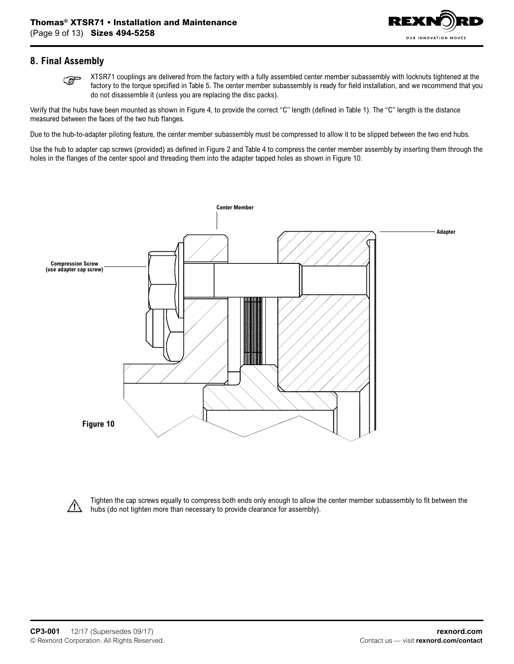

## **8. Final Assembly**

 XTSR71 couplings are delivered from the factory with a fully assembled center member subassembly with locknuts tightened at the **P** factory to the torque specified in Table 5. The center member subassembly is ready for field installation, and we recommend that you do not disassemble it (unless you are replacing the disc packs).

Verify that the hubs have been mounted as shown in Figure 4, to provide the correct "C" length (defined in Table 1). The "C" length is the distance measured between the faces of the two hub flanges.

Due to the hub-to-adapter piloting feature, the center member subassembly must be compressed to allow it to be slipped between the two end hubs.

Use the hub to adapter cap screws (provided) as defined in Figure 2 and Table 4 to compress the center member assembly by inserting them through the holes in the flanges of the center spool and threading them into the adapter tapped holes as shown in Figure 10.





Tighten the cap screws equally to compress both ends only enough to allow the center member subassembly to fit between the hubs (do not tighten more than necessary to provide clearance for assembly).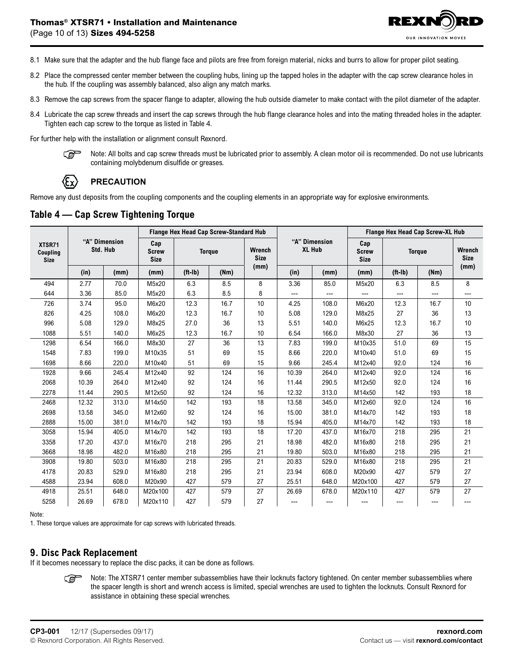

- 8.1 Make sure that the adapter and the hub flange face and pilots are free from foreign material, nicks and burrs to allow for proper pilot seating.
- 8.2 Place the compressed center member between the coupling hubs, lining up the tapped holes in the adapter with the cap screw clearance holes in the hub. If the coupling was assembly balanced, also align any match marks.
- 8.3 Remove the cap screws from the spacer flange to adapter, allowing the hub outside diameter to make contact with the pilot diameter of the adapter.
- 8.4 Lubricate the cap screw threads and insert the cap screws through the hub flange clearance holes and into the mating threaded holes in the adapter. Tighten each cap screw to the torque as listed in Table 4.

For further help with the installation or alignment consult Rexnord.

෬

 Note: All bolts and cap screw threads must be lubricated prior to assembly. A clean motor oil is recommended. Do not use lubricants containing molybdenum disulfide or greases.

# **PRECAUTION**

Remove any dust deposits from the coupling components and the coupling elements in an appropriate way for explosive environments.

## **Table 4 — Cap Screw Tightening Torque**

|                                   | "A" Dimension<br>Std. Hub |       |                                                     |                   | Flange Hex Head Cap Screw-Standard Hub |                       |       |                                | Flange Hex Head Cap Screw-XL Hub   |               |      |                              |  |
|-----------------------------------|---------------------------|-------|-----------------------------------------------------|-------------------|----------------------------------------|-----------------------|-------|--------------------------------|------------------------------------|---------------|------|------------------------------|--|
| XTSR71<br>Coupling<br><b>Size</b> |                           |       | Cap<br><b>Screw</b><br><b>Torque</b><br><b>Size</b> |                   |                                        | Wrench<br><b>Size</b> |       | "A" Dimension<br><b>XL Hub</b> | Cap<br><b>Screw</b><br><b>Size</b> | <b>Torque</b> |      | <b>Wrench</b><br><b>Size</b> |  |
|                                   | (in)                      | (mm)  | (mm)                                                | $(ft-lb)$<br>(Nm) |                                        | (mm)                  | (in)  | (mm)                           | (mm)                               | $(ft-lb)$     | (Nm) | (mm)                         |  |
| 494                               | 2.77                      | 70.0  | M5x20                                               | 6.3               | 8.5                                    | 8                     | 3.36  | 85.0                           | M5x20                              | 6.3           | 8.5  | 8                            |  |
| 644                               | 3.36                      | 85.0  | M5x20                                               | 6.3               | 8.5                                    | 8                     | ---   | ---                            | ---                                | ---           | ---  | ---                          |  |
| 726                               | 3.74                      | 95.0  | M6x20                                               | 12.3              | 16.7                                   | 10                    | 4.25  | 108.0                          | M6x20                              | 12.3          | 16.7 | 10                           |  |
| 826                               | 4.25                      | 108.0 | M6x20                                               | 12.3              | 16.7                                   | 10                    | 5.08  | 129.0                          | M8x25                              | 27            | 36   | 13                           |  |
| 996                               | 5.08                      | 129.0 | M8x25                                               | 27.0              | 36                                     | 13                    | 5.51  | 140.0                          | M6x25                              | 12.3          | 16.7 | 10                           |  |
| 1088                              | 5.51                      | 140.0 | M6x25                                               | 12.3              | 16.7                                   | 10                    | 6.54  | 166.0                          | M8x30                              | 27            | 36   | 13                           |  |
| 1298                              | 6.54                      | 166.0 | M8x30                                               | 27                | 36                                     | 13                    | 7.83  | 199.0                          | M10x35                             | 51.0          | 69   | 15                           |  |
| 1548                              | 7.83                      | 199.0 | M10x35                                              | 51                | 69                                     | 15                    | 8.66  | 220.0                          | M10x40                             | 51.0          | 69   | 15                           |  |
| 1698                              | 8.66                      | 220.0 | M10x40                                              | 51                | 69                                     | 15                    | 9.66  | 245.4                          | M12x40                             | 92.0          | 124  | 16                           |  |
| 1928                              | 9.66                      | 245.4 | M12x40                                              | 92                | 124                                    | 16                    | 10.39 | 264.0                          | M12x40                             | 92.0          | 124  | 16                           |  |
| 2068                              | 10.39                     | 264.0 | M12x40                                              | 92                | 124                                    | 16                    | 11.44 | 290.5                          | M12x50                             | 92.0          | 124  | 16                           |  |
| 2278                              | 11.44                     | 290.5 | M12x50                                              | 92                | 124                                    | 16                    | 12.32 | 313.0                          | M14x50                             | 142           | 193  | 18                           |  |
| 2468                              | 12.32                     | 313.0 | M14x50                                              | 142               | 193                                    | 18                    | 13.58 | 345.0                          | M12x60                             | 92.0          | 124  | 16                           |  |
| 2698                              | 13.58                     | 345.0 | M12x60                                              | 92                | 124                                    | 16                    | 15.00 | 381.0                          | M14x70                             | 142           | 193  | 18                           |  |
| 2888                              | 15.00                     | 381.0 | M14x70                                              | 142               | 193                                    | 18                    | 15.94 | 405.0                          | M14x70                             | 142           | 193  | 18                           |  |
| 3058                              | 15.94                     | 405.0 | M14x70                                              | 142               | 193                                    | 18                    | 17.20 | 437.0                          | M16x70                             | 218           | 295  | 21                           |  |
| 3358                              | 17.20                     | 437.0 | M16x70                                              | 218               | 295                                    | 21                    | 18.98 | 482.0                          | M16x80                             | 218           | 295  | 21                           |  |
| 3668                              | 18.98                     | 482.0 | M16x80                                              | 218               | 295                                    | 21                    | 19.80 | 503.0                          | M16x80                             | 218           | 295  | 21                           |  |
| 3908                              | 19.80                     | 503.0 | M16x80                                              | 218               | 295                                    | 21                    | 20.83 | 529.0                          | M16x80                             | 218           | 295  | 21                           |  |
| 4178                              | 20.83                     | 529.0 | M16x80                                              | 218               | 295                                    | 21                    | 23.94 | 608.0                          | M20x90                             | 427           | 579  | 27                           |  |
| 4588                              | 23.94                     | 608.0 | M20x90                                              | 427               | 579                                    | 27                    | 25.51 | 648.0                          | M20x100                            | 427           | 579  | 27                           |  |
| 4918                              | 25.51                     | 648.0 | M20x100                                             | 427               | 579                                    | 27                    | 26.69 | 678.0                          | M20x110                            | 427           | 579  | 27                           |  |
| 5258                              | 26.69                     | 678.0 | M20x110                                             | 427               | 579                                    | 27                    | ---   | ---                            | ---                                | ---           | ---  | ---                          |  |

Note:

1. These torque values are approximate for cap screws with lubricated threads.

#### **9. Disc Pack Replacement**

If it becomes necessary to replace the disc packs, it can be done as follows.

 Note: The XTSR71 center member subassemblies have their locknuts factory tightened. On center member subassemblies where **CEP** the spacer length is short and wrench access is limited, special wrenches are used to tighten the locknuts. Consult Rexnord for assistance in obtaining these special wrenches.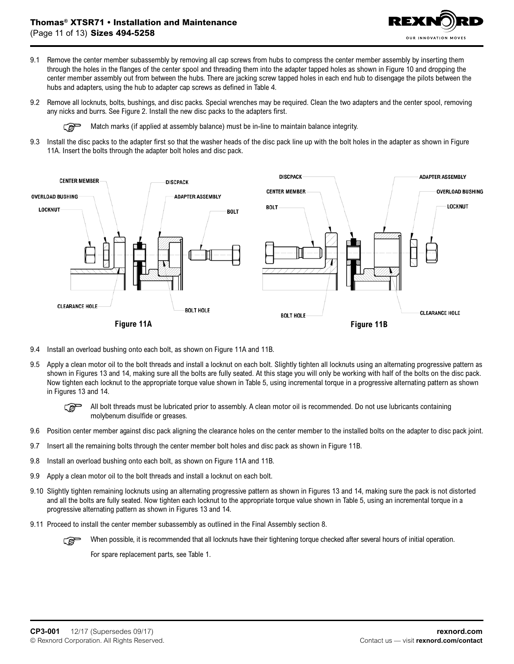

- 9.1 Remove the center member subassembly by removing all cap screws from hubs to compress the center member assembly by inserting them through the holes in the flanges of the center spool and threading them into the adapter tapped holes as shown in Figure 10 and dropping the center member assembly out from between the hubs. There are jacking screw tapped holes in each end hub to disengage the pilots between the hubs and adapters, using the hub to adapter cap screws as defined in Table 4.
- 9.2 Remove all locknuts, bolts, bushings, and disc packs. Special wrenches may be required. Clean the two adapters and the center spool, removing any nicks and burrs. See Figure 2. Install the new disc packs to the adapters first.

ణా Match marks (if applied at assembly balance) must be in-line to maintain balance integrity.

9.3 Install the disc packs to the adapter first so that the washer heads of the disc pack line up with the bolt holes in the adapter as shown in Figure 11A. Insert the bolts through the adapter bolt holes and disc pack.



- 9.4 Install an overload bushing onto each bolt, as shown on Figure 11A and 11B.
- 9.5 Apply a clean motor oil to the bolt threads and install a locknut on each bolt. Slightly tighten all locknuts using an alternating progressive pattern as shown in Figures 13 and 14, making sure all the bolts are fully seated. At this stage you will only be working with half of the bolts on the disc pack. Now tighten each locknut to the appropriate torque value shown in Table 5, using incremental torque in a progressive alternating pattern as shown in Figures 13 and 14.
	- డె All bolt threads must be lubricated prior to assembly. A clean motor oil is recommended. Do not use lubricants containing molybenum disulfide or greases.
- 9.6 Position center member against disc pack aligning the clearance holes on the center member to the installed bolts on the adapter to disc pack joint.
- 9.7 Insert all the remaining bolts through the center member bolt holes and disc pack as shown in Figure 11B.
- 9.8 Install an overload bushing onto each bolt, as shown on Figure 11A and 11B.
- 9.9 Apply a clean motor oil to the bolt threads and install a locknut on each bolt.
- 9.10 Slightly tighten remaining locknuts using an alternating progressive pattern as shown in Figures 13 and 14, making sure the pack is not distorted and all the bolts are fully seated. Now tighten each locknut to the appropriate torque value shown in Table 5, using an incremental torque in a progressive alternating pattern as shown in Figures 13 and 14.
- 9.11 Proceed to install the center member subassembly as outlined in the Final Assembly section 8.

When possible, it is recommended that all locknuts have their tightening torque checked after several hours of initial operation. ক্লে

For spare replacement parts, see Table 1.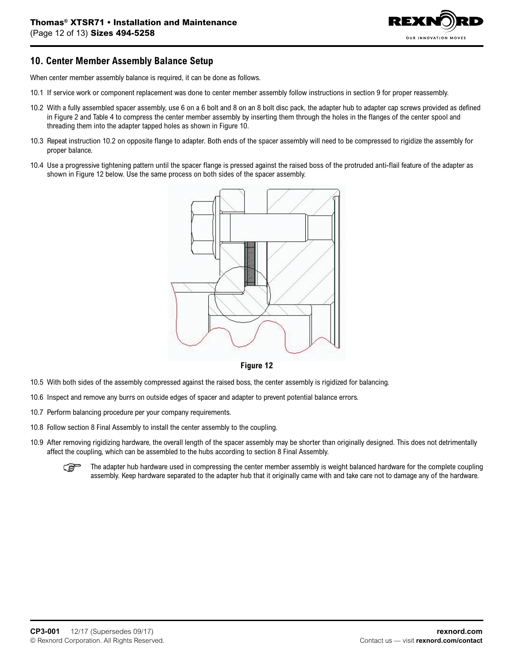

## **10. Center Member Assembly Balance Setup**

When center member assembly balance is required, it can be done as follows.

- 10.1 If service work or component replacement was done to center member assembly follow instructions in section 9 for proper reassembly.
- 10.2 With a fully assembled spacer assembly, use 6 on a 6 bolt and 8 on an 8 bolt disc pack, the adapter hub to adapter cap screws provided as defined in Figure 2 and Table 4 to compress the center member assembly by inserting them through the holes in the flanges of the center spool and threading them into the adapter tapped holes as shown in Figure 10.
- 10.3 Repeat instruction 10.2 on opposite flange to adapter. Both ends of the spacer assembly will need to be compressed to rigidize the assembly for proper balance.
- 10.4 Use a progressive tightening pattern until the spacer flange is pressed against the raised boss of the protruded anti-flail feature of the adapter as shown in Figure 12 below. Use the same process on both sides of the spacer assembly.



**Figure 12**

- 10.5 With both sides of the assembly compressed against the raised boss, the center assembly is rigidized for balancing.
- 10.6 Inspect and remove any burrs on outside edges of spacer and adapter to prevent potential balance errors.
- 10.7 Perform balancing procedure per your company requirements.
- 10.8 Follow section 8 Final Assembly to install the center assembly to the coupling.
- 10.9 After removing rigidizing hardware, the overall length of the spacer assembly may be shorter than originally designed. This does not detrimentally affect the coupling, which can be assembled to the hubs according to section 8 Final Assembly.